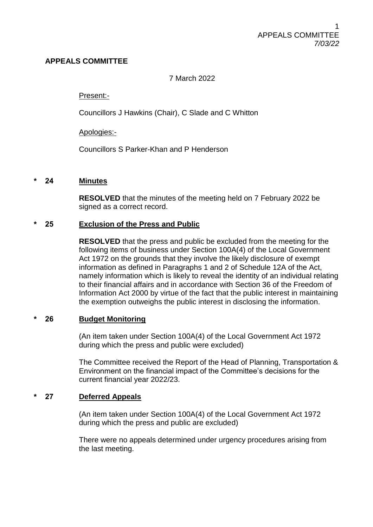## **APPEALS COMMITTEE**

## 7 March 2022

#### Present:-

Councillors J Hawkins (Chair), C Slade and C Whitton

#### Apologies:-

Councillors S Parker-Khan and P Henderson

#### **\* 24 Minutes**

**RESOLVED** that the minutes of the meeting held on 7 February 2022 be signed as a correct record.

#### **\* 25 Exclusion of the Press and Public**

**RESOLVED** that the press and public be excluded from the meeting for the following items of business under Section 100A(4) of the Local Government Act 1972 on the grounds that they involve the likely disclosure of exempt information as defined in Paragraphs 1 and 2 of Schedule 12A of the Act, namely information which is likely to reveal the identity of an individual relating to their financial affairs and in accordance with Section 36 of the Freedom of Information Act 2000 by virtue of the fact that the public interest in maintaining the exemption outweighs the public interest in disclosing the information.

## **\* 26 Budget Monitoring**

(An item taken under Section 100A(4) of the Local Government Act 1972 during which the press and public were excluded)

The Committee received the Report of the Head of Planning, Transportation & Environment on the financial impact of the Committee's decisions for the current financial year 2022/23.

## **\* 27 Deferred Appeals**

(An item taken under Section 100A(4) of the Local Government Act 1972 during which the press and public are excluded)

There were no appeals determined under urgency procedures arising from the last meeting.